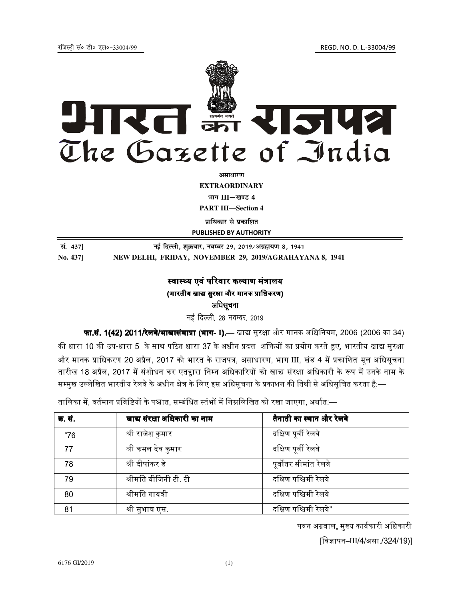

**EXTRAORDINARY** भाग III—खण्ड 4

**PART III—Section 4** 

**प्राधिकार से प्रकाशित** 

PUBLISHED BY AUTHORITY

| सं. 437] | नई दिल्ली, शुक्रवार, नवम्बर 29, 2019/अग्रहायण 8, 1941   |
|----------|---------------------------------------------------------|
| No. 4371 | NEW DELHI, FRIDAY, NOVEMBER 29, 2019/AGRAHAYANA 8, 1941 |

# स्वास्थ्य एवं परिवार कल्याण मंत्रालय (भारतीय खाद्य सुरक्षा और मानक प्राधिकरण) अधिसूचना

नई दिल्ली, 28 नवम्बर, 2019

**फा.सं. 1(42) 2011/रेलवे/भाखासंमाप्रा (भाग- I).—** खाद्य सुरक्षा और मानक अधिनियम, 2006 (2006 का 34) की धारा 10 की उप-धारा 5 के साथ पठित धारा 37 के अधीन प्रदत्त शक्तियों का प्रयोग करते हुए. भारतीय खाद्य सरक्षा और मानक प्राधिकरण 20 अप्रैल, 2017 को भारत के राजपत्र, असाधारण, भाग III, खंड 4 में प्रकाशित मूल अधिसूचना तारीख 18 अप्रैल. 2017 में संशोधन कर एतद्दारा निम्न अधिकारियों को खाद्य संरक्षा अधिकारी के रूप में उनके नाम के सम्मख उल्लेखित भारतीय रेलवे के अधीन क्षेत्र के लिए इस अधिसचना के प्रकाशन की तिथी से अधिसचित करता है:—

तालिका में. वर्तमान प्रविष्टियों के पश्चात. सम्बंधित स्तंभों में निम्नलिखित को रखा जाएगा. अर्थात:—

| क्र. सं | खाद्य संरक्षा अधिकारी का नाम | तैनाती का स्थान और रेलवे |
|---------|------------------------------|--------------------------|
| "76     | श्री राजेश कुमार             | दक्षिण पूर्वी रेलवे      |
| 77      | श्री कमल देव कुमार           | दक्षिण पूर्वी रेलवे      |
| 78      | श्री दीपांकर डे              | पूर्वोतर सीमांत रेलवे    |
| 79      | श्रीमति बीजिनी टी. टी.       | दक्षिण पश्चिमी रेलवे     |
| 80      | श्रीमति गायत्री              | दक्षिण पश्चिमी रेलवे     |
| 81      | श्री सुभाष एस.               | दक्षिण पश्चिमी रेलवे"    |

पवन अग्रवाल, मुख्य कार्यकारी अधिकारी

[विज्ञापन–III/4/असा /324/19)]